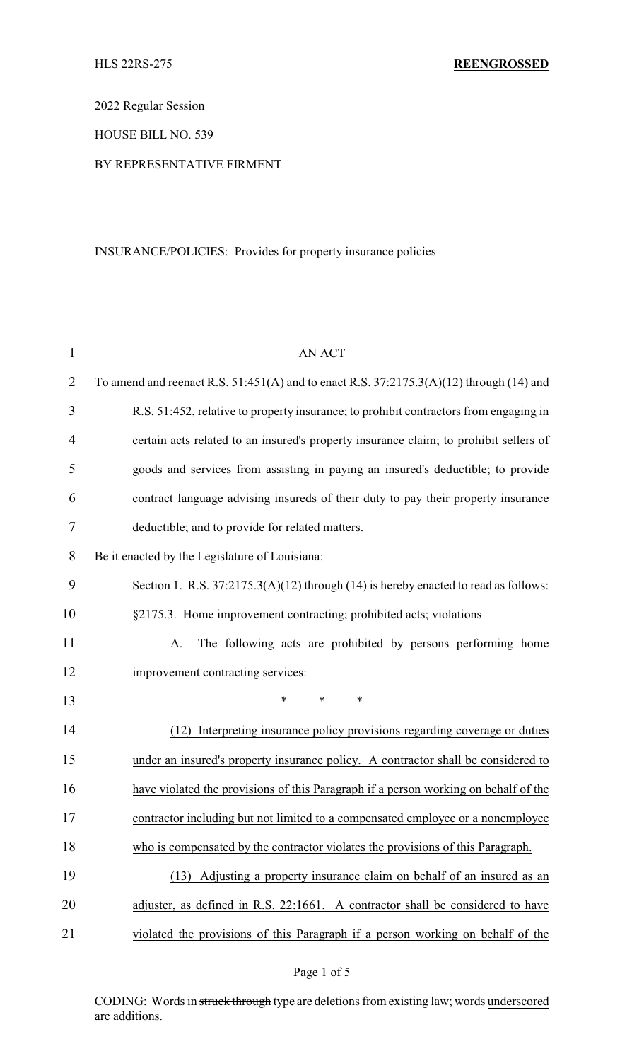2022 Regular Session

HOUSE BILL NO. 539

## BY REPRESENTATIVE FIRMENT

# INSURANCE/POLICIES: Provides for property insurance policies

| $\mathbf{1}$   | <b>AN ACT</b>                                                                               |
|----------------|---------------------------------------------------------------------------------------------|
| $\overline{2}$ | To amend and reenact R.S. $51:451(A)$ and to enact R.S. $37:2175.3(A)(12)$ through (14) and |
| 3              | R.S. 51:452, relative to property insurance; to prohibit contractors from engaging in       |
| 4              | certain acts related to an insured's property insurance claim; to prohibit sellers of       |
| 5              | goods and services from assisting in paying an insured's deductible; to provide             |
| 6              | contract language advising insureds of their duty to pay their property insurance           |
| 7              | deductible; and to provide for related matters.                                             |
| 8              | Be it enacted by the Legislature of Louisiana:                                              |
| 9              | Section 1. R.S. 37:2175.3(A)(12) through (14) is hereby enacted to read as follows:         |
| 10             | §2175.3. Home improvement contracting; prohibited acts; violations                          |
| 11             | The following acts are prohibited by persons performing home<br>A.                          |
| 12             | improvement contracting services:                                                           |
| 13             | *<br>$\ast$<br>$\ast$                                                                       |
| 14             | Interpreting insurance policy provisions regarding coverage or duties<br>(12)               |
| 15             | under an insured's property insurance policy. A contractor shall be considered to           |
| 16             | have violated the provisions of this Paragraph if a person working on behalf of the         |
| 17             | contractor including but not limited to a compensated employee or a nonemployee             |
| 18             | who is compensated by the contractor violates the provisions of this Paragraph.             |
| 19             | Adjusting a property insurance claim on behalf of an insured as an<br>(13)                  |
| 20             | adjuster, as defined in R.S. 22:1661. A contractor shall be considered to have              |
| 21             | violated the provisions of this Paragraph if a person working on behalf of the              |

CODING: Words in struck through type are deletions from existing law; words underscored are additions.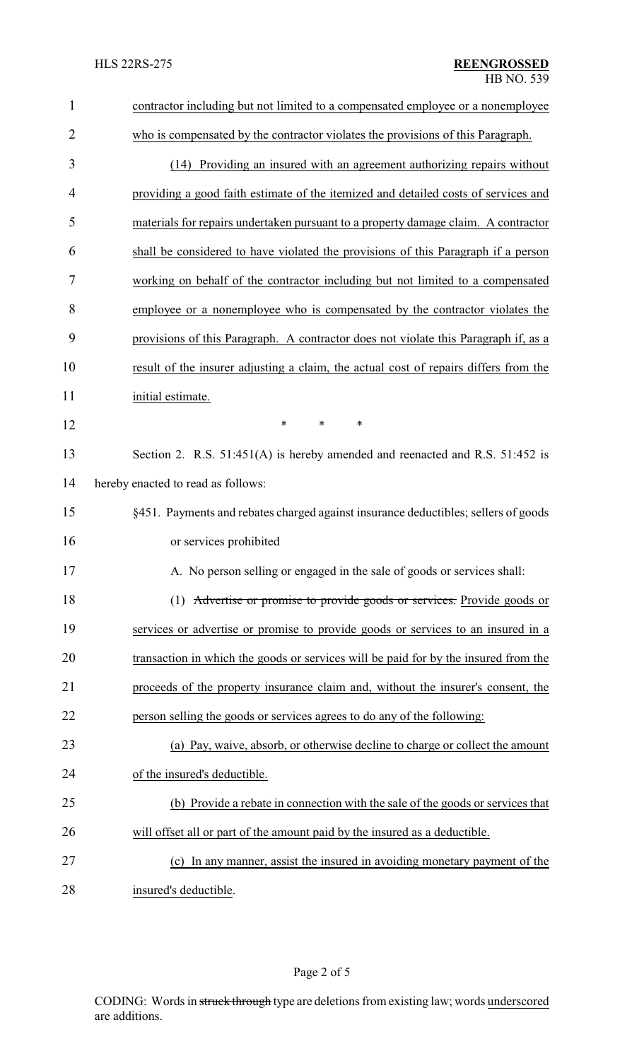| $\mathbf{1}$   | contractor including but not limited to a compensated employee or a nonemployee      |
|----------------|--------------------------------------------------------------------------------------|
| $\overline{2}$ | who is compensated by the contractor violates the provisions of this Paragraph.      |
| 3              | (14) Providing an insured with an agreement authorizing repairs without              |
| 4              | providing a good faith estimate of the itemized and detailed costs of services and   |
| 5              | materials for repairs undertaken pursuant to a property damage claim. A contractor   |
| 6              | shall be considered to have violated the provisions of this Paragraph if a person    |
| 7              | working on behalf of the contractor including but not limited to a compensated       |
| 8              | employee or a nonemployee who is compensated by the contractor violates the          |
| 9              | provisions of this Paragraph. A contractor does not violate this Paragraph if, as a  |
| 10             | result of the insurer adjusting a claim, the actual cost of repairs differs from the |
| 11             | initial estimate.                                                                    |
| 12             | $\ast$<br>$\ast$<br>*                                                                |
| 13             | Section 2. R.S. 51:451(A) is hereby amended and reenacted and R.S. 51:452 is         |
| 14             | hereby enacted to read as follows:                                                   |
| 15             | §451. Payments and rebates charged against insurance deductibles; sellers of goods   |
| 16             | or services prohibited                                                               |
| 17             | A. No person selling or engaged in the sale of goods or services shall:              |
| 18             | (1) Advertise or promise to provide goods or services. Provide goods or              |
| 19             | services or advertise or promise to provide goods or services to an insured in a     |
| 20             | transaction in which the goods or services will be paid for by the insured from the  |
| 21             | proceeds of the property insurance claim and, without the insurer's consent, the     |
| 22             | person selling the goods or services agrees to do any of the following:              |
| 23             | (a) Pay, waive, absorb, or otherwise decline to charge or collect the amount         |
| 24             | of the insured's deductible.                                                         |
| 25             | (b) Provide a rebate in connection with the sale of the goods or services that       |
| 26             | will offset all or part of the amount paid by the insured as a deductible.           |
| 27             | (c) In any manner, assist the insured in avoiding monetary payment of the            |
| 28             | insured's deductible.                                                                |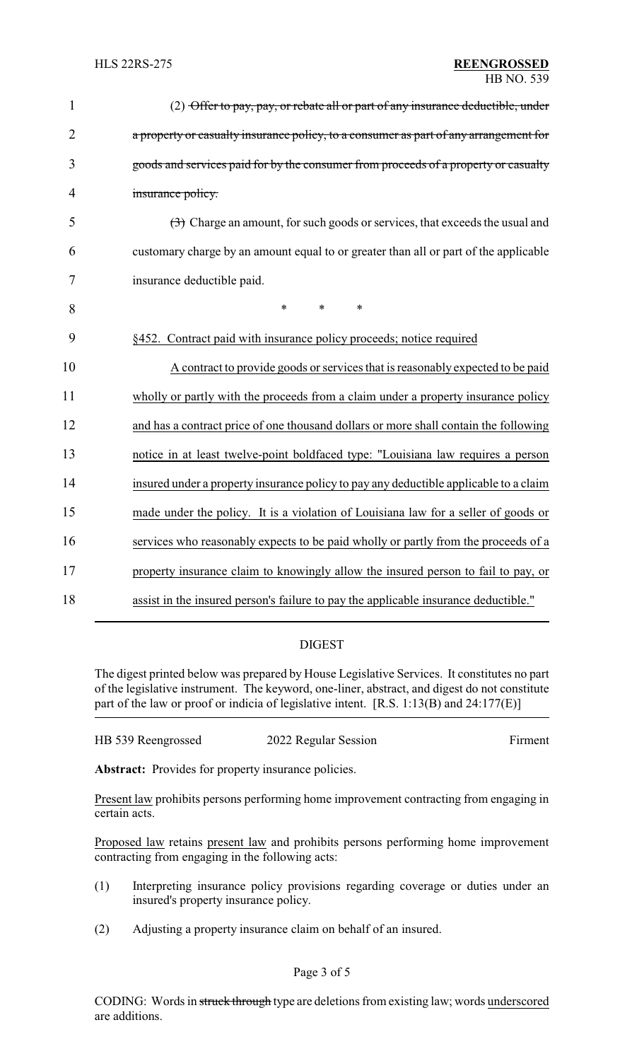| $\mathbf{1}$   | (2) Offer to pay, pay, or rebate all or part of any insurance deductible, under       |
|----------------|---------------------------------------------------------------------------------------|
| $\overline{2}$ | a property or casualty insurance policy, to a consumer as part of any arrangement for |
| 3              | goods and services paid for by the consumer from proceeds of a property or casualty   |
| $\overline{4}$ | insurance policy.                                                                     |
| 5              | (3) Charge an amount, for such goods or services, that exceeds the usual and          |
| 6              | customary charge by an amount equal to or greater than all or part of the applicable  |
| $\overline{7}$ | insurance deductible paid.                                                            |
| 8              | $\ast$<br>$\ast$<br>$\ast$                                                            |
| 9              | §452. Contract paid with insurance policy proceeds; notice required                   |
| 10             | A contract to provide goods or services that is reasonably expected to be paid        |
| 11             | wholly or partly with the proceeds from a claim under a property insurance policy     |
| 12             | and has a contract price of one thousand dollars or more shall contain the following  |
| 13             | notice in at least twelve-point boldfaced type: "Louisiana law requires a person      |
| 14             | insured under a property insurance policy to pay any deductible applicable to a claim |
| 15             | made under the policy. It is a violation of Louisiana law for a seller of goods or    |
| 16             | services who reasonably expects to be paid wholly or partly from the proceeds of a    |
| 17             | property insurance claim to knowingly allow the insured person to fail to pay, or     |
| 18             | assist in the insured person's failure to pay the applicable insurance deductible."   |

## DIGEST

The digest printed below was prepared by House Legislative Services. It constitutes no part of the legislative instrument. The keyword, one-liner, abstract, and digest do not constitute part of the law or proof or indicia of legislative intent. [R.S. 1:13(B) and 24:177(E)]

| HB 539 Reengrossed | 2022 Regular Session | Firment |
|--------------------|----------------------|---------|
|--------------------|----------------------|---------|

Abstract: Provides for property insurance policies.

Present law prohibits persons performing home improvement contracting from engaging in certain acts.

Proposed law retains present law and prohibits persons performing home improvement contracting from engaging in the following acts:

- (1) Interpreting insurance policy provisions regarding coverage or duties under an insured's property insurance policy.
- (2) Adjusting a property insurance claim on behalf of an insured.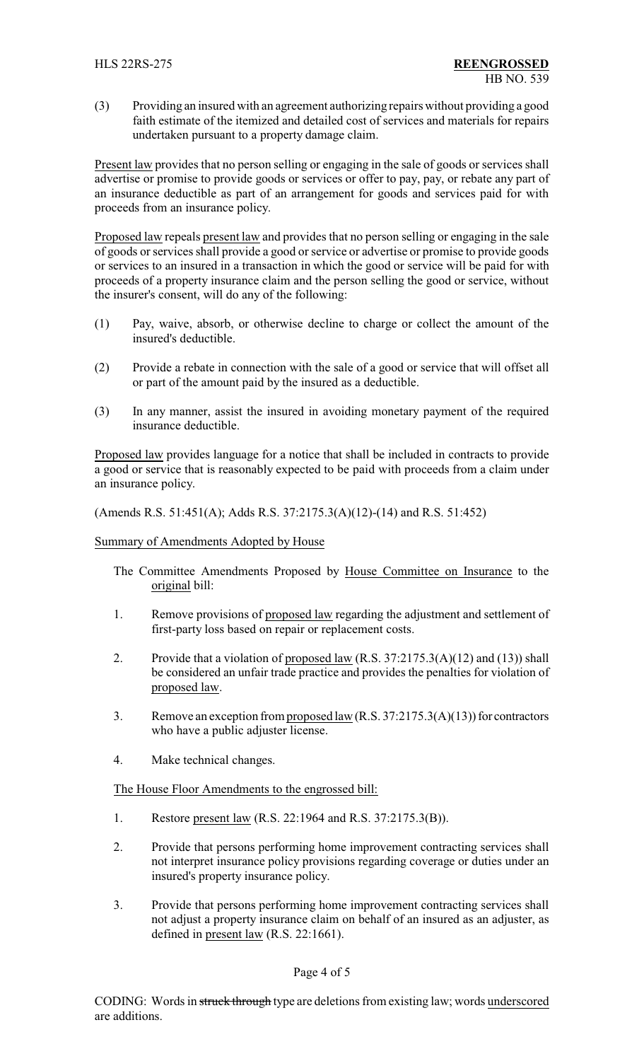(3) Providing an insured with an agreement authorizing repairs without providing a good faith estimate of the itemized and detailed cost of services and materials for repairs undertaken pursuant to a property damage claim.

Present law provides that no person selling or engaging in the sale of goods or services shall advertise or promise to provide goods or services or offer to pay, pay, or rebate any part of an insurance deductible as part of an arrangement for goods and services paid for with proceeds from an insurance policy.

Proposed law repeals present law and provides that no person selling or engaging in the sale of goods orservices shall provide a good or service or advertise or promise to provide goods or services to an insured in a transaction in which the good or service will be paid for with proceeds of a property insurance claim and the person selling the good or service, without the insurer's consent, will do any of the following:

- (1) Pay, waive, absorb, or otherwise decline to charge or collect the amount of the insured's deductible.
- (2) Provide a rebate in connection with the sale of a good or service that will offset all or part of the amount paid by the insured as a deductible.
- (3) In any manner, assist the insured in avoiding monetary payment of the required insurance deductible.

Proposed law provides language for a notice that shall be included in contracts to provide a good or service that is reasonably expected to be paid with proceeds from a claim under an insurance policy.

(Amends R.S. 51:451(A); Adds R.S. 37:2175.3(A)(12)-(14) and R.S. 51:452)

### Summary of Amendments Adopted by House

- The Committee Amendments Proposed by House Committee on Insurance to the original bill:
- 1. Remove provisions of proposed law regarding the adjustment and settlement of first-party loss based on repair or replacement costs.
- 2. Provide that a violation of proposed law (R.S. 37:2175.3(A)(12) and (13)) shall be considered an unfair trade practice and provides the penalties for violation of proposed law.
- 3. Remove an exception from proposed law (R.S. 37:2175.3(A)(13)) for contractors who have a public adjuster license.
- 4. Make technical changes.

The House Floor Amendments to the engrossed bill:

- 1. Restore present law (R.S. 22:1964 and R.S. 37:2175.3(B)).
- 2. Provide that persons performing home improvement contracting services shall not interpret insurance policy provisions regarding coverage or duties under an insured's property insurance policy.
- 3. Provide that persons performing home improvement contracting services shall not adjust a property insurance claim on behalf of an insured as an adjuster, as defined in present law (R.S. 22:1661).

### Page 4 of 5